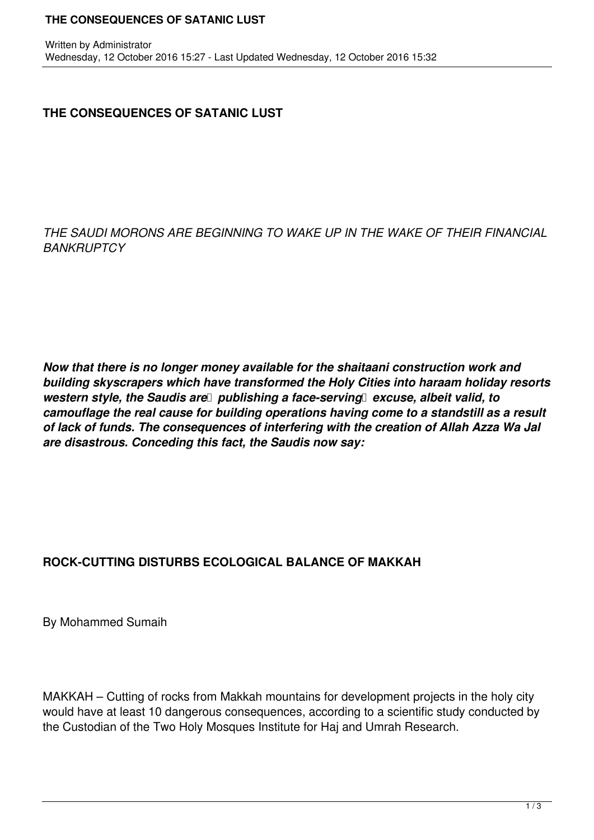## **THE CONSEQUENCES OF SATANIC LUST**

*THE SAUDI MORONS ARE BEGINNING TO WAKE UP IN THE WAKE OF THEIR FINANCIAL BANKRUPTCY*

*Now that there is no longer money available for the shaitaani construction work and building skyscrapers which have transformed the Holy Cities into haraam holiday resorts western style, the Saudis are publishing a face-serving excuse, albeit valid, to camouflage the real cause for building operations having come to a standstill as a result of lack of funds. The consequences of interfering with the creation of Allah Azza Wa Jal are disastrous. Conceding this fact, the Saudis now say:*

## **ROCK-CUTTING DISTURBS ECOLOGICAL BALANCE OF MAKKAH**

By Mohammed Sumaih

MAKKAH – Cutting of rocks from Makkah mountains for development projects in the holy city would have at least 10 dangerous consequences, according to a scientific study conducted by the Custodian of the Two Holy Mosques Institute for Haj and Umrah Research.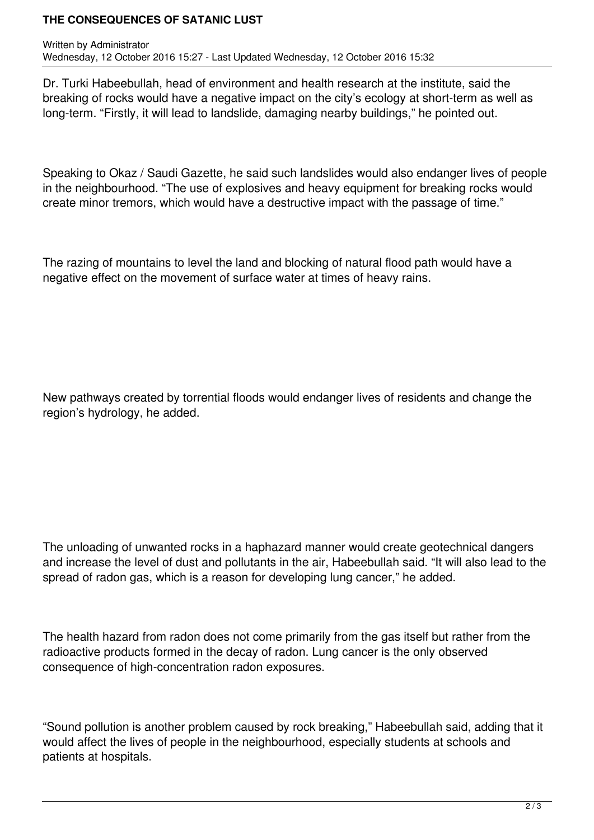## **THE CONSEQUENCES OF SATANIC LUST**

Dr. Turki Habeebullah, head of environment and health research at the institute, said the breaking of rocks would have a negative impact on the city's ecology at short-term as well as long-term. "Firstly, it will lead to landslide, damaging nearby buildings," he pointed out.

Speaking to Okaz / Saudi Gazette, he said such landslides would also endanger lives of people in the neighbourhood. "The use of explosives and heavy equipment for breaking rocks would create minor tremors, which would have a destructive impact with the passage of time."

The razing of mountains to level the land and blocking of natural flood path would have a negative effect on the movement of surface water at times of heavy rains.

New pathways created by torrential floods would endanger lives of residents and change the region's hydrology, he added.

The unloading of unwanted rocks in a haphazard manner would create geotechnical dangers and increase the level of dust and pollutants in the air, Habeebullah said. "It will also lead to the spread of radon gas, which is a reason for developing lung cancer," he added.

The health hazard from radon does not come primarily from the gas itself but rather from the radioactive products formed in the decay of radon. Lung cancer is the only observed consequence of high-concentration radon exposures.

"Sound pollution is another problem caused by rock breaking," Habeebullah said, adding that it would affect the lives of people in the neighbourhood, especially students at schools and patients at hospitals.